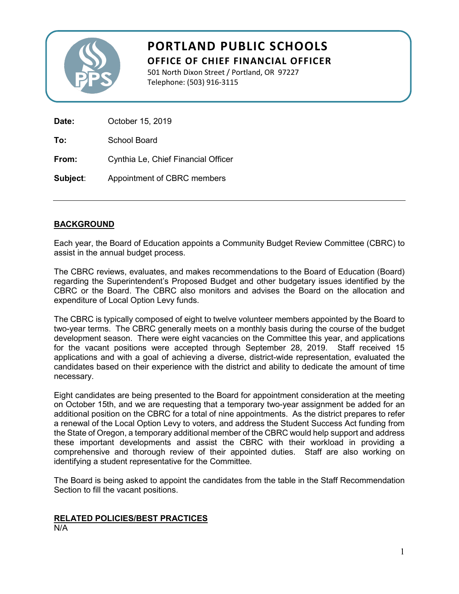

# **PORTLAND PUBLIC SCHOOLS OFFICE OF CHIEF FINANCIAL OFFICER**

501 North Dixon Street / Portland, OR 97227 Telephone: (503) 916-3115

| Date:    | October 15, 2019                    |  |  |
|----------|-------------------------------------|--|--|
| To:      | School Board                        |  |  |
| From:    | Cynthia Le, Chief Financial Officer |  |  |
| Subject: | Appointment of CBRC members         |  |  |

## **BACKGROUND**

Each year, the Board of Education appoints a Community Budget Review Committee (CBRC) to assist in the annual budget process.

The CBRC reviews, evaluates, and makes recommendations to the Board of Education (Board) regarding the Superintendent's Proposed Budget and other budgetary issues identified by the CBRC or the Board. The CBRC also monitors and advises the Board on the allocation and expenditure of Local Option Levy funds.

The CBRC is typically composed of eight to twelve volunteer members appointed by the Board to two-year terms. The CBRC generally meets on a monthly basis during the course of the budget development season. There were eight vacancies on the Committee this year, and applications for the vacant positions were accepted through September 28, 2019. Staff received 15 applications and with a goal of achieving a diverse, district-wide representation, evaluated the candidates based on their experience with the district and ability to dedicate the amount of time necessary.

Eight candidates are being presented to the Board for appointment consideration at the meeting on October 15th, and we are requesting that a temporary two-year assignment be added for an additional position on the CBRC for a total of nine appointments. As the district prepares to refer a renewal of the Local Option Levy to voters, and address the Student Success Act funding from the State of Oregon, a temporary additional member of the CBRC would help support and address these important developments and assist the CBRC with their workload in providing a comprehensive and thorough review of their appointed duties. Staff are also working on identifying a student representative for the Committee.

The Board is being asked to appoint the candidates from the table in the Staff Recommendation Section to fill the vacant positions.

## **RELATED POLICIES/BEST PRACTICES**

N/A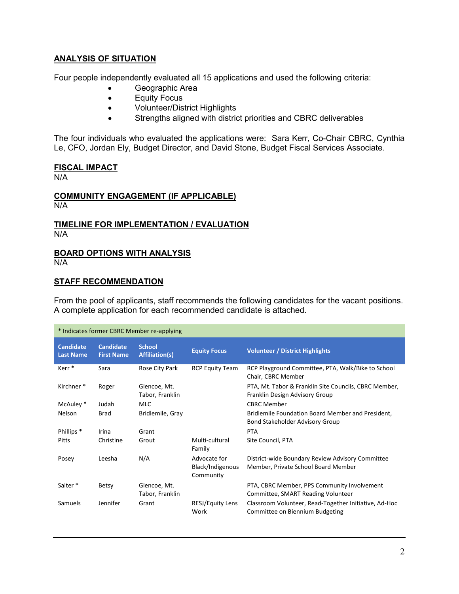## **ANALYSIS OF SITUATION**

Four people independently evaluated all 15 applications and used the following criteria:

- Geographic Area
- Equity Focus
- Volunteer/District Highlights
- Strengths aligned with district priorities and CBRC deliverables

The four individuals who evaluated the applications were: Sara Kerr, Co-Chair CBRC, Cynthia Le, CFO, Jordan Ely, Budget Director, and David Stone, Budget Fiscal Services Associate.

#### **FISCAL IMPACT**

N/A

### **COMMUNITY ENGAGEMENT (IF APPLICABLE)** N/A

### **TIMELINE FOR IMPLEMENTATION / EVALUATION** N/A

#### **BOARD OPTIONS WITH ANALYSIS** N/A

## **STAFF RECOMMENDATION**

From the pool of applicants, staff recommends the following candidates for the vacant positions. A complete application for each recommended candidate is attached.

| * Indicates former CBRC Member re-applying |                                       |                                        |                                               |                                                                                          |  |
|--------------------------------------------|---------------------------------------|----------------------------------------|-----------------------------------------------|------------------------------------------------------------------------------------------|--|
| <b>Candidate</b><br><b>Last Name</b>       | <b>Candidate</b><br><b>First Name</b> | <b>School</b><br><b>Affiliation(s)</b> | <b>Equity Focus</b>                           | <b>Volunteer / District Highlights</b>                                                   |  |
| Kerr <sup>*</sup>                          | Sara                                  | Rose City Park                         | <b>RCP Equity Team</b>                        | RCP Playground Committee, PTA, Walk/Bike to School<br>Chair, CBRC Member                 |  |
| Kirchner <sup>*</sup>                      | Roger                                 | Glencoe, Mt.<br>Tabor, Franklin        |                                               | PTA, Mt. Tabor & Franklin Site Councils, CBRC Member,<br>Franklin Design Advisory Group  |  |
| McAuley *                                  | Judah                                 | <b>MLC</b>                             |                                               | <b>CBRC Member</b>                                                                       |  |
| Nelson                                     | <b>Brad</b>                           | Bridlemile, Gray                       |                                               | Bridlemile Foundation Board Member and President,<br>Bond Stakeholder Advisory Group     |  |
| Phillips <sup>*</sup>                      | Irina                                 | Grant                                  |                                               | <b>PTA</b>                                                                               |  |
| Pitts                                      | Christine                             | Grout                                  | Multi-cultural<br>Family                      | Site Council, PTA                                                                        |  |
| Posey                                      | Leesha                                | N/A                                    | Advocate for<br>Black/Indigenous<br>Community | District-wide Boundary Review Advisory Committee<br>Member, Private School Board Member  |  |
| Salter <sup>*</sup>                        | Betsy                                 | Glencoe, Mt.<br>Tabor, Franklin        |                                               | PTA, CBRC Member, PPS Community Involvement<br>Committee, SMART Reading Volunteer        |  |
| Samuels                                    | Jennifer                              | Grant                                  | RESJ/Equity Lens<br>Work                      | Classroom Volunteer, Read-Together Initiative, Ad-Hoc<br>Committee on Biennium Budgeting |  |